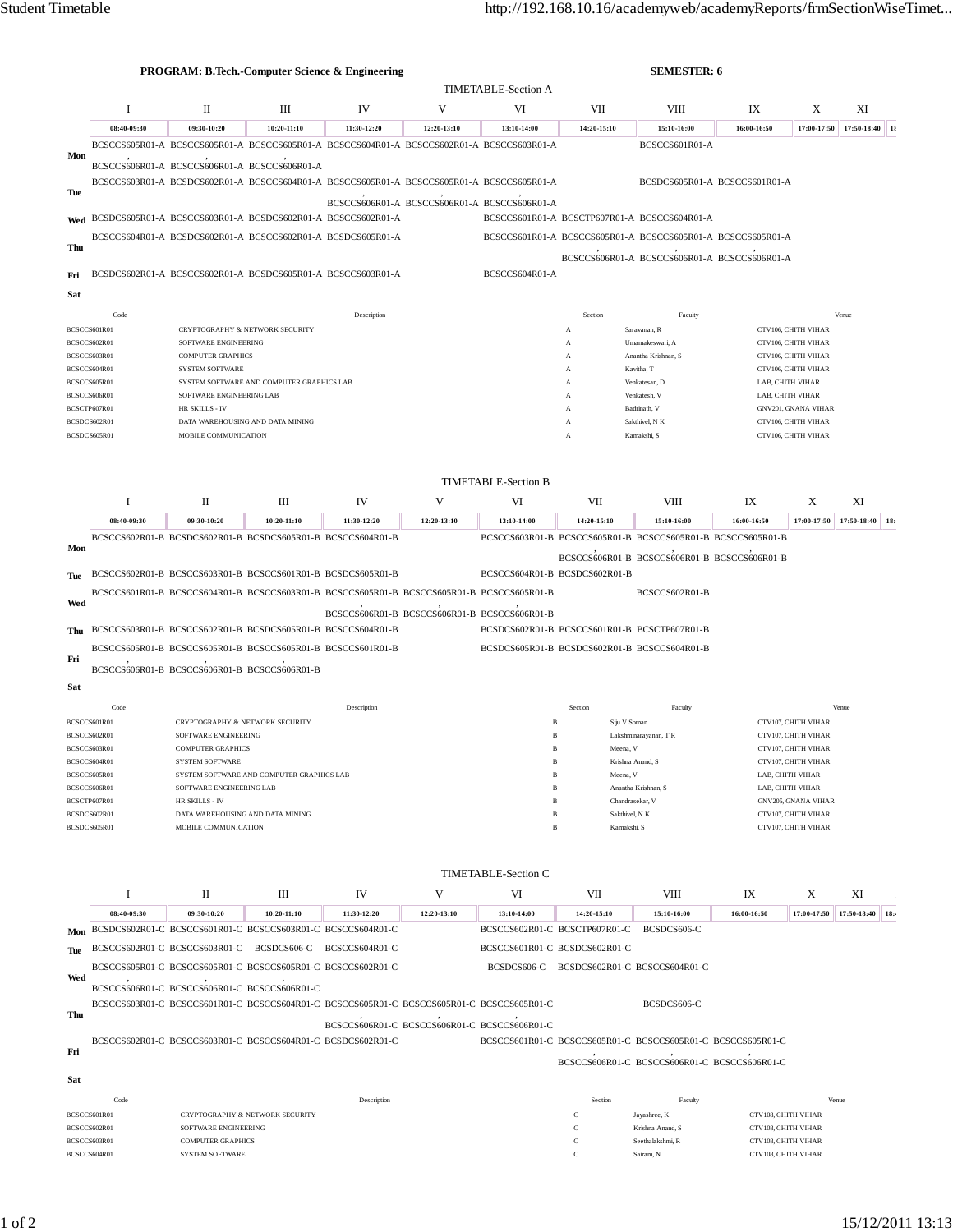|                                                                                 |                              | <b>TIMETABLE-Section A</b>                                      |                                           |                                                                                           |                                              |                                                        |                                              |                                                             |                                            |                                            |                  |                             |  |
|---------------------------------------------------------------------------------|------------------------------|-----------------------------------------------------------------|-------------------------------------------|-------------------------------------------------------------------------------------------|----------------------------------------------|--------------------------------------------------------|----------------------------------------------|-------------------------------------------------------------|--------------------------------------------|--------------------------------------------|------------------|-----------------------------|--|
|                                                                                 | I                            | $\mathbf{I}$                                                    | Ш                                         | IV                                                                                        | V                                            | VI                                                     | VII                                          | <b>VIII</b>                                                 | IX                                         | X                                          | XI               |                             |  |
|                                                                                 | 08:40-09:30                  | 09:30-10:20                                                     | $10:20-11:10$                             | 11:30-12:20                                                                               | 12:20-13:10                                  | 13:10-14:00                                            | 14:20-15:10                                  | 15:10-16:00                                                 | 16:00-16:50                                | 17:00-17:50                                | 17:50-18:40      | $\overline{\phantom{1}}$ 18 |  |
| Mon                                                                             |                              |                                                                 |                                           | BCSCCS605R01-A BCSCCS605R01-A BCSCCS605R01-A BCSCCS604R01-A BCSCCS602R01-A BCSCCS603R01-A |                                              |                                                        |                                              | BCSCCS601R01-A                                              |                                            |                                            |                  |                             |  |
|                                                                                 |                              | BCSCCS606R01-A BCSCCS606R01-A BCSCCS606R01-A                    |                                           |                                                                                           |                                              |                                                        |                                              |                                                             |                                            |                                            |                  |                             |  |
| Tue                                                                             |                              |                                                                 |                                           | BCSCCS603R01-A BCSDCS602R01-A BCSCCS604R01-A BCSCCS605R01-A BCSCCS605R01-A BCSCCS605R01-A |                                              |                                                        |                                              | BCSDCS605R01-A BCSCCS601R01-A                               |                                            |                                            |                  |                             |  |
|                                                                                 |                              |                                                                 |                                           |                                                                                           | BCSCCS606R01-A BCSCCS606R01-A BCSCCS606R01-A |                                                        |                                              |                                                             |                                            |                                            |                  |                             |  |
|                                                                                 |                              |                                                                 |                                           | Wed BCSDCS605R01-A BCSCCS603R01-A BCSDCS602R01-A BCSCCS602R01-A                           |                                              |                                                        | BCSCCS601R01-A BCSCTP607R01-A BCSCCS604R01-A |                                                             |                                            |                                            |                  |                             |  |
| Thu                                                                             |                              |                                                                 |                                           | BCSCCS604R01-A BCSDCS602R01-A BCSCCS602R01-A BCSDCS605R01-A                               |                                              |                                                        |                                              | BCSCCS601R01-A BCSCCS605R01-A BCSCCS605R01-A BCSCCS605R01-A |                                            |                                            |                  |                             |  |
| Fri                                                                             |                              |                                                                 |                                           | BCSDCS602R01-A BCSCCS602R01-A BCSDCS605R01-A BCSCCS603R01-A                               |                                              | BCSCCS604R01-A                                         |                                              | BCSCCS606R01-A BCSCCS606R01-A BCSCCS606R01-A                |                                            |                                            |                  |                             |  |
|                                                                                 |                              |                                                                 |                                           |                                                                                           |                                              |                                                        |                                              |                                                             |                                            |                                            |                  |                             |  |
| Sat                                                                             |                              |                                                                 |                                           |                                                                                           |                                              |                                                        |                                              |                                                             |                                            |                                            |                  |                             |  |
|                                                                                 | Code<br>BCSCCS601R01         |                                                                 | CRYPTOGRAPHY & NETWORK SECURITY           | Description                                                                               |                                              |                                                        | Section<br>А                                 | Faculty<br>Saravanan, R                                     | Venue<br>CTV106, CHITH VIHAR               |                                            |                  |                             |  |
| BCSCCS602R01                                                                    |                              | SOFTWARE ENGINEERING                                            |                                           |                                                                                           |                                              |                                                        | A                                            | CTV106, CHITH VIHAR<br>Umamakeswari, A                      |                                            |                                            |                  |                             |  |
| BCSCCS603R01<br>BCSCCS604R01                                                    |                              | <b>COMPUTER GRAPHICS</b><br><b>SYSTEM SOFTWARE</b>              |                                           |                                                                                           |                                              | Anantha Krishnan, S<br>А                               |                                              |                                                             | CTV106, CHITH VIHAR                        |                                            |                  |                             |  |
|                                                                                 | BCSCCS605R01                 |                                                                 | SYSTEM SOFTWARE AND COMPUTER GRAPHICS LAB | Kavitha, T<br>A<br>Venkatesan, D<br>A                                                     |                                              |                                                        |                                              |                                                             | CTV106, CHITH VIHAR<br>LAB, CHITH VIHAR    |                                            |                  |                             |  |
|                                                                                 | BCSCCS606R01                 | SOFTWARE ENGINEERING LAB                                        |                                           |                                                                                           |                                              |                                                        | Venkatesh, V<br>А                            | LAB, CHITH VIHAR                                            |                                            |                                            |                  |                             |  |
|                                                                                 | BCSCTP607R01                 | HR SKILLS - IV                                                  |                                           |                                                                                           |                                              |                                                        | $\mathbf{A}$                                 | Badrinath, V                                                |                                            | <b>GNV201, GNANA VIHAR</b>                 |                  |                             |  |
|                                                                                 | BCSDCS602R01<br>BCSDCS605R01 | MOBILE COMMUNICATION                                            | DATA WAREHOUSING AND DATA MINING          |                                                                                           |                                              |                                                        | $\mathbf{A}$<br>А                            | Sakthivel, N K<br>Kamakshi, S                               |                                            | CTV106, CHITH VIHAR<br>CTV106, CHITH VIHAR |                  |                             |  |
|                                                                                 |                              |                                                                 |                                           |                                                                                           |                                              |                                                        |                                              |                                                             |                                            |                                            |                  |                             |  |
|                                                                                 |                              |                                                                 |                                           |                                                                                           |                                              |                                                        |                                              |                                                             |                                            |                                            |                  |                             |  |
|                                                                                 |                              |                                                                 |                                           |                                                                                           |                                              | <b>TIMETABLE-Section B</b>                             |                                              |                                                             |                                            |                                            |                  |                             |  |
|                                                                                 | Ι                            | П                                                               | Ш                                         | IV                                                                                        | V                                            | VI                                                     | VII                                          | <b>VIII</b>                                                 | IX                                         | X                                          | XI               |                             |  |
|                                                                                 | 08:40-09:30                  | 09:30-10:20                                                     | $10:20 - 11:10$                           | 11:30-12:20                                                                               | 12:20-13:10                                  | 13:10-14:00                                            | 14:20-15:10                                  | 15:10-16:00                                                 | 16:00-16:50                                | 17:00-17:50                                | 17:50-18:40      | 18:                         |  |
| Mon                                                                             |                              | BCSCCS602R01-B BCSDCS602R01-B BCSDCS605R01-B BCSCCS604R01-B     |                                           |                                                                                           |                                              |                                                        |                                              | BCSCCS603R01-B BCSCCS605R01-B BCSCCS605R01-B BCSCCS605R01-B |                                            |                                            |                  |                             |  |
|                                                                                 |                              |                                                                 |                                           |                                                                                           |                                              | BCSCCS604R01-B BCSDCS602R01-B                          |                                              | BCSCCS606R01-B BCSCCS606R01-B BCSCCS606R01-B                |                                            |                                            |                  |                             |  |
| Tue                                                                             |                              | BCSCCS602R01-B BCSCCS603R01-B BCSCCS601R01-B BCSDCS605R01-B     |                                           |                                                                                           |                                              |                                                        |                                              |                                                             |                                            |                                            |                  |                             |  |
| Wed                                                                             |                              |                                                                 |                                           | BCSCCS601R01-B BCSCCS604R01-B BCSCCS603R01-B BCSCCS605R01-B BCSCCS605R01-B BCSCCS605R01-B |                                              |                                                        |                                              | BCSCCS602R01-B                                              |                                            |                                            |                  |                             |  |
|                                                                                 |                              |                                                                 |                                           | BCSCCS606R01-B BCSCCS606R01-B BCSCCS606R01-B                                              |                                              |                                                        |                                              |                                                             |                                            |                                            |                  |                             |  |
|                                                                                 |                              | Thu BCSCCS603R01-B BCSCCS602R01-B BCSDCS605R01-B BCSCCS604R01-B |                                           |                                                                                           |                                              | BCSDCS602R01-B BCSCCS601R01-B BCSCTP607R01-B           |                                              |                                                             |                                            |                                            |                  |                             |  |
| Fri                                                                             |                              | BCSCCS605R01-B BCSCCS605R01-B BCSCCS605R01-B BCSCCS601R01-B     |                                           |                                                                                           |                                              | BCSDCS605R01-B BCSDCS602R01-B BCSCCS604R01-B           |                                              |                                                             |                                            |                                            |                  |                             |  |
|                                                                                 |                              | BCSCCS606R01-B BCSCCS606R01-B BCSCCS606R01-B                    |                                           |                                                                                           |                                              |                                                        |                                              |                                                             |                                            |                                            |                  |                             |  |
| Sat                                                                             |                              |                                                                 |                                           |                                                                                           |                                              |                                                        |                                              |                                                             |                                            |                                            |                  |                             |  |
|                                                                                 | Code<br>BCSCCS601R01         | CRYPTOGRAPHY & NETWORK SECURITY                                 |                                           | Description                                                                               |                                              | B                                                      | Section<br>Siju V Soman                      | Faculty                                                     |                                            | CTV107, CHITH VIHAR                        | Venue            |                             |  |
|                                                                                 | BCSCCS602R01                 | SOFTWARE ENGINEERING                                            |                                           |                                                                                           |                                              |                                                        |                                              | Lakshminarayanan, TR                                        | CTV107, CHITH VIHAR                        |                                            |                  |                             |  |
|                                                                                 | BCSCCS603R01                 | <b>COMPUTER GRAPHICS</b>                                        |                                           |                                                                                           |                                              | B                                                      | Meena, V                                     |                                                             |                                            | CTV107, CHITH VIHAR                        |                  |                             |  |
|                                                                                 | BCSCCS604R01                 | <b>SYSTEM SOFTWARE</b>                                          | SYSTEM SOFTWARE AND COMPUTER GRAPHICS LAB |                                                                                           |                                              | B<br>B                                                 | Krishna Anand S<br>Meena, V                  |                                                             |                                            | CTV107, CHITH VIHAR<br>LAB, CHITH VIHAR    |                  |                             |  |
| BCSCCS605R01<br>BCSCCS606R01                                                    |                              | SOFTWARE ENGINEERING LAB                                        |                                           |                                                                                           |                                              | B                                                      |                                              | Anantha Krishnan, S                                         | LAB, CHITH VIHAR                           |                                            |                  |                             |  |
| BCSCTP607R01                                                                    |                              | HR SKILLS - IV                                                  |                                           |                                                                                           |                                              | $\overline{B}$                                         | Chandrasekar, V                              |                                                             |                                            | GNV205, GNANA VIHAR                        |                  |                             |  |
| BCSDCS602R01                                                                    |                              | DATA WAREHOUSING AND DATA MINING                                |                                           |                                                                                           |                                              | B                                                      | Sakthivel, N K                               |                                                             |                                            | CTV107, CHITH VIHAR                        |                  |                             |  |
| MOBILE COMMUNICATION<br>Kamakshi, S<br>CTV107, CHITH VIHAR<br>BCSDCS605R01<br>B |                              |                                                                 |                                           |                                                                                           |                                              |                                                        |                                              |                                                             |                                            |                                            |                  |                             |  |
|                                                                                 |                              |                                                                 |                                           |                                                                                           |                                              |                                                        |                                              |                                                             |                                            |                                            |                  |                             |  |
|                                                                                 |                              |                                                                 |                                           |                                                                                           |                                              | <b>TIMETABLE-Section C</b>                             |                                              |                                                             |                                            |                                            |                  |                             |  |
|                                                                                 | I                            | П                                                               | Ш                                         | IV                                                                                        | V                                            | VI                                                     | VII                                          | VIII                                                        | IX                                         | X                                          | XI               |                             |  |
|                                                                                 | 08:40-09:30                  | 09:30-10:20                                                     | 10:20-11:10                               | 11:30-12:20                                                                               | 12:20-13:10                                  | 13:10-14:00                                            | 14:20-15:10                                  | 15:10-16:00                                                 | 16:00-16:50                                | 17:00-17:50                                | 17:50-18:40 18:4 |                             |  |
|                                                                                 |                              | Mon BCSDCS602R01-C BCSCCS601R01-C BCSCCS603R01-C BCSCCS604R01-C |                                           |                                                                                           |                                              | BCSCCS602R01-C BCSCTP607R01-C                          |                                              | BCSDCS606-C                                                 |                                            |                                            |                  |                             |  |
| Tue                                                                             |                              | BCSCCS602R01-C BCSCCS603R01-C BCSDCS606-C BCSCCS604R01-C        |                                           |                                                                                           |                                              | BCSCCS601R01-C BCSDCS602R01-C                          |                                              |                                                             |                                            |                                            |                  |                             |  |
| Wed                                                                             |                              | BCSCCS605R01-C BCSCCS605R01-C BCSCCS605R01-C BCSCCS602R01-C     |                                           |                                                                                           |                                              |                                                        | BCSDCS606-C BCSDCS602R01-C BCSCCS604R01-C    |                                                             |                                            |                                            |                  |                             |  |
|                                                                                 |                              | BCSCCS606R01-C BCSCCS606R01-C BCSCCS606R01-C                    |                                           | BCSCCS603R01-C BCSCCS601R01-C BCSCCS604R01-C BCSCCS605R01-C BCSCCS605R01-C BCSCCS605R01-C |                                              |                                                        |                                              | BCSDCS606-C                                                 |                                            |                                            |                  |                             |  |
| Thu                                                                             |                              |                                                                 |                                           | BCSCCS606R01-C BCSCCS606R01-C BCSCCS606R01-C                                              |                                              |                                                        |                                              |                                                             |                                            |                                            |                  |                             |  |
|                                                                                 |                              | BCSCCS602R01-C BCSCCS603R01-C BCSCCS604R01-C BCSDCS602R01-C     |                                           |                                                                                           |                                              |                                                        |                                              | BCSCCS601R01-C BCSCCS605R01-C BCSCCS605R01-C BCSCCS605R01-C |                                            |                                            |                  |                             |  |
| Fri                                                                             |                              |                                                                 |                                           |                                                                                           |                                              |                                                        |                                              | BCSCCS606R01-C BCSCCS606R01-C BCSCCS606R01-C                |                                            |                                            |                  |                             |  |
| Sat                                                                             |                              |                                                                 |                                           |                                                                                           |                                              |                                                        |                                              |                                                             |                                            |                                            |                  |                             |  |
|                                                                                 | Code                         |                                                                 |                                           | Description                                                                               |                                              |                                                        | Section                                      | Faculty                                                     |                                            | Venue                                      |                  |                             |  |
|                                                                                 | BCSCCS601R01                 |                                                                 | CRYPTOGRAPHY & NETWORK SECURITY           |                                                                                           |                                              |                                                        | с                                            | Jayashree, K                                                | CTV108, CHITH VIHAR                        |                                            |                  |                             |  |
| BCSCCS602R01                                                                    |                              | SOFTWARE ENGINEERING                                            |                                           |                                                                                           |                                              | $\mathbf C$<br>CTV108, CHITH VIHAR<br>Krishna Anand, S |                                              |                                                             |                                            |                                            |                  |                             |  |
|                                                                                 |                              |                                                                 |                                           |                                                                                           |                                              |                                                        |                                              |                                                             |                                            |                                            |                  |                             |  |
|                                                                                 | BCSCCS603R01<br>BCSCCS604R01 | <b>COMPUTER GRAPHICS</b><br><b>SYSTEM SOFTWARE</b>              |                                           |                                                                                           |                                              |                                                        | с<br>С                                       | Seethalakshmi, R<br>Sairam, N                               | CTV108, CHITH VIHAR<br>CTV108, CHITH VIHAR |                                            |                  |                             |  |

PROGRAM: B.Tech.-Computer Science & Engineering SEMESTER: 6